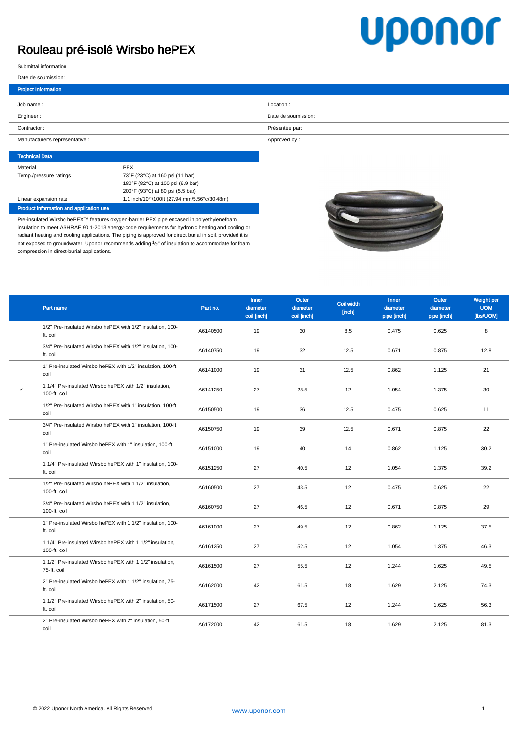## Rouleau pré-isolé Wirsbo hePEX

## **Uponor**

Submittal information

## Date de soumission:

| <b>Project Information</b>      |                     |
|---------------------------------|---------------------|
| Job name:                       | Location:           |
| Engineer:                       | Date de soumission: |
| Contractor:                     | Présentée par:      |
| Manufacturer's representative : | Approved by:        |
|                                 |                     |

| <b>Technical Data</b>  |                                              |
|------------------------|----------------------------------------------|
| Material               | <b>PEX</b>                                   |
| Temp./pressure ratings | 73°F (23°C) at 160 psi (11 bar)              |
|                        | 180°F (82°C) at 100 psi (6.9 bar)            |
|                        | 200°F (93°C) at 80 psi (5.5 bar)             |
| Linear expansion rate  | 1.1 inch/10°f/100ft (27.94 mm/5.56°c/30.48m) |

Product information and application use

Pre-insulated Wirsbo hePEX™ features oxygen-barrier PEX pipe encased in polyethylenefoam insulation to meet ASHRAE 90.1-2013 energy-code requirements for hydronic heating and cooling or radiant heating and cooling applications. The piping is approved for direct burial in soil, provided it is not exposed to groundwater. Uponor recommends adding  $1/2$ " of insulation to accommodate for foam compression in direct-burial applications.



|   | Part name                                                                 | Part no. | <b>Inner</b><br>diameter<br>coil [inch] | Outer<br>diameter<br>coil [inch] | Coil width<br>[inch] | <b>Inner</b><br>diameter<br>pipe [inch] | Outer<br>diameter<br>pipe [inch] | Weight per<br><b>UOM</b><br>[Ibs/UOM] |
|---|---------------------------------------------------------------------------|----------|-----------------------------------------|----------------------------------|----------------------|-----------------------------------------|----------------------------------|---------------------------------------|
|   | 1/2" Pre-insulated Wirsbo hePEX with 1/2" insulation, 100-<br>ft. coil    | A6140500 | 19                                      | 30                               | 8.5                  | 0.475                                   | 0.625                            | 8                                     |
|   | 3/4" Pre-insulated Wirsbo hePEX with 1/2" insulation, 100-<br>ft. coil    | A6140750 | 19                                      | 32                               | 12.5                 | 0.671                                   | 0.875                            | 12.8                                  |
|   | 1" Pre-insulated Wirsbo hePEX with 1/2" insulation, 100-ft.<br>coil       | A6141000 | 19                                      | 31                               | 12.5                 | 0.862                                   | 1.125                            | 21                                    |
| v | 1 1/4" Pre-insulated Wirsbo hePEX with 1/2" insulation,<br>100-ft. coil   | A6141250 | 27                                      | 28.5                             | 12                   | 1.054                                   | 1.375                            | 30                                    |
|   | 1/2" Pre-insulated Wirsbo hePEX with 1" insulation, 100-ft.<br>coil       | A6150500 | 19                                      | 36                               | 12.5                 | 0.475                                   | 0.625                            | 11                                    |
|   | 3/4" Pre-insulated Wirsbo hePEX with 1" insulation, 100-ft.<br>coil       | A6150750 | 19                                      | 39                               | 12.5                 | 0.671                                   | 0.875                            | 22                                    |
|   | 1" Pre-insulated Wirsbo hePEX with 1" insulation, 100-ft.<br>coil         | A6151000 | 19                                      | 40                               | 14                   | 0.862                                   | 1.125                            | 30.2                                  |
|   | 1 1/4" Pre-insulated Wirsbo hePEX with 1" insulation, 100-<br>ft. coil    | A6151250 | 27                                      | 40.5                             | 12                   | 1.054                                   | 1.375                            | 39.2                                  |
|   | 1/2" Pre-insulated Wirsbo hePEX with 1 1/2" insulation,<br>100-ft. coil   | A6160500 | 27                                      | 43.5                             | 12                   | 0.475                                   | 0.625                            | 22                                    |
|   | 3/4" Pre-insulated Wirsbo hePEX with 1 1/2" insulation,<br>100-ft. coil   | A6160750 | 27                                      | 46.5                             | 12                   | 0.671                                   | 0.875                            | 29                                    |
|   | 1" Pre-insulated Wirsbo hePEX with 1 1/2" insulation, 100-<br>ft. coil    | A6161000 | 27                                      | 49.5                             | 12                   | 0.862                                   | 1.125                            | 37.5                                  |
|   | 1 1/4" Pre-insulated Wirsbo hePEX with 1 1/2" insulation,<br>100-ft. coil | A6161250 | 27                                      | 52.5                             | 12                   | 1.054                                   | 1.375                            | 46.3                                  |
|   | 1 1/2" Pre-insulated Wirsbo hePEX with 1 1/2" insulation,<br>75-ft. coil  | A6161500 | 27                                      | 55.5                             | 12                   | 1.244                                   | 1.625                            | 49.5                                  |
|   | 2" Pre-insulated Wirsbo hePEX with 1 1/2" insulation, 75-<br>ft. coil     | A6162000 | 42                                      | 61.5                             | 18                   | 1.629                                   | 2.125                            | 74.3                                  |
|   | 1 1/2" Pre-insulated Wirsbo hePEX with 2" insulation, 50-<br>ft. coil     | A6171500 | 27                                      | 67.5                             | 12                   | 1.244                                   | 1.625                            | 56.3                                  |
|   | 2" Pre-insulated Wirsbo hePEX with 2" insulation, 50-ft.<br>coil          | A6172000 | 42                                      | 61.5                             | 18                   | 1.629                                   | 2.125                            | 81.3                                  |